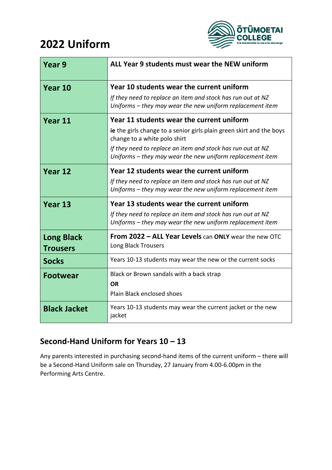# **2022 Uniform**



| Year 9                               | ALL Year 9 students must wear the NEW uniform                                                                                                                                                                                                                                 |  |  |
|--------------------------------------|-------------------------------------------------------------------------------------------------------------------------------------------------------------------------------------------------------------------------------------------------------------------------------|--|--|
| Year 10                              | Year 10 students wear the current uniform<br>If they need to replace an item and stock has run out at NZ<br>Uniforms – they may wear the new uniform replacement item                                                                                                         |  |  |
| Year 11                              | Year 11 students wear the current uniform<br>ie the girls change to a senior girls plain green skirt and the boys<br>change to a white polo shirt<br>If they need to replace an item and stock has run out at NZ<br>Uniforms - they may wear the new uniform replacement item |  |  |
| Year 12                              | Year 12 students wear the current uniform<br>If they need to replace an item and stock has run out at NZ<br>Uniforms – they may wear the new uniform replacement item                                                                                                         |  |  |
| Year 13                              | Year 13 students wear the current uniform<br>If they need to replace an item and stock has run out at NZ<br>Uniforms - they may wear the new uniform replacement item                                                                                                         |  |  |
| <b>Long Black</b><br><b>Trousers</b> | <b>From 2022 - ALL Year Levels can ONLY wear the new OTC</b><br>Long Black Trousers                                                                                                                                                                                           |  |  |
| <b>Socks</b>                         | Years 10-13 students may wear the new or the current socks                                                                                                                                                                                                                    |  |  |
| <b>Footwear</b>                      | Black or Brown sandals with a back strap<br><b>OR</b><br>Plain Black enclosed shoes                                                                                                                                                                                           |  |  |
| <b>Black Jacket</b>                  | Years 10-13 students may wear the current jacket or the new<br>jacket                                                                                                                                                                                                         |  |  |

## **Second-Hand Uniform for Years 10 – 13**

Any parents interested in purchasing second-hand items of the current uniform – there will be a Second-Hand Uniform sale on Thursday, 27 January from 4.00-6.00pm in the Performing Arts Centre.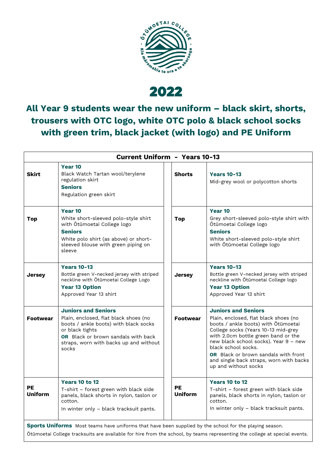

2022

**All Year 9 students wear the new uniform – black skirt, shorts, trousers with OTC logo, white OTC polo & black school socks with green trim, black jacket (with logo) and PE Uniform**

| <b>Current Uniform - Years 10-13</b> |                                                                                                                                                                                                                                  |                             |                                                                                                                                                                                                                                                                                                                                                                            |  |
|--------------------------------------|----------------------------------------------------------------------------------------------------------------------------------------------------------------------------------------------------------------------------------|-----------------------------|----------------------------------------------------------------------------------------------------------------------------------------------------------------------------------------------------------------------------------------------------------------------------------------------------------------------------------------------------------------------------|--|
| <b>Skirt</b>                         | Year 10<br>Black Watch Tartan wool/terylene<br>regulation skirt<br><b>Seniors</b><br>Regulation green skirt                                                                                                                      | <b>Shorts</b>               | <b>Years 10-13</b><br>Mid-grey wool or polycotton shorts                                                                                                                                                                                                                                                                                                                   |  |
| Top                                  | Year 10<br>White short-sleeved polo-style shirt<br>with Ōtūmoetai College logo<br><b>Seniors</b><br>White polo shirt (as above) or short-<br>sleeved blouse with green piping on<br>sleeve                                       | <b>Top</b>                  | Year 10<br>Grey short-sleeved polo-style shirt with<br>Ōtūmoetai College logo<br><b>Seniors</b><br>White short-sleeved polo-style shirt<br>with Otūmoetai College logo                                                                                                                                                                                                     |  |
| <b>Jersey</b>                        | <b>Years 10-13</b><br>Bottle green V-necked jersey with striped<br>neckline with Otūmoetai College Logo<br><b>Year 13 Option</b><br>Approved Year 13 shirt                                                                       | <b>Jersey</b>               | <b>Years 10-13</b><br>Bottle green V-necked jersey with striped<br>neckline with Otūmoetai College logo<br><b>Year 13 Option</b><br>Approved Year 13 shirt                                                                                                                                                                                                                 |  |
| <b>Footwear</b>                      | <b>Juniors and Seniors</b><br>Plain, enclosed, flat black shoes (no<br>boots / ankle boots) with black socks<br>or black tights<br><b>OR</b> Black or brown sandals with back<br>straps, worn with backs up and without<br>socks | <b>Footwear</b>             | <b>Juniors and Seniors</b><br>Plain, enclosed, flat black shoes (no<br>boots / ankle boots) with Otūmoetai<br>College socks (Years 10-13 mid-grey<br>with 2.0cm bottle green band or the<br>new black school socks). Year 9 - new<br>black school socks.<br><b>OR</b> Black or brown sandals with front<br>and single back straps, worn with backs<br>up and without socks |  |
| <b>PE</b><br><b>Uniform</b>          | <b>Years 10 to 12</b><br>T-shirt – forest green with black side<br>panels, black shorts in nylon, taslon or<br>cotton.<br>In winter only - black tracksuit pants.                                                                | <b>PE</b><br><b>Uniform</b> | <b>Years 10 to 12</b><br>T-shirt – forest green with black side<br>panels, black shorts in nylon, taslon or<br>cotton.<br>In winter only - black tracksuit pants.                                                                                                                                                                                                          |  |

**Sports Uniforms** Most teams have uniforms that have been supplied by the school for the playing season.

Ōtūmoetai College tracksuits are available for hire from the school, by teams representing the college at special events.